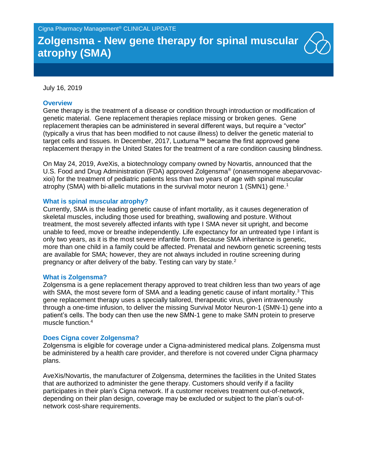# **Zolgensma - New gene therapy for spinal muscular atrophy (SMA)**

### July 16, 2019

## **Overview**

Gene therapy is the treatment of a disease or condition through introduction or modification of genetic material. Gene replacement therapies replace missing or broken genes. Gene replacement therapies can be administered in several different ways, but require a "vector" (typically a virus that has been modified to not cause illness) to deliver the genetic material to target cells and tissues. In December, 2017, Luxturna™ became the first approved gene replacement therapy in the United States for the treatment of a rare condition causing blindness.

On May 24, 2019, AveXis, a biotechnology company owned by Novartis, announced that the U.S. Food and Drug Administration (FDA) approved Zolgensma® (onasemnogene abeparvovacxioi) for the treatment of pediatric patients less than two years of age with spinal muscular atrophy (SMA) with bi-allelic mutations in the survival motor neuron 1 (SMN1) gene.<sup>1</sup>

### **What is spinal muscular atrophy?**

Currently, SMA is the leading genetic cause of infant mortality, as it causes degeneration of skeletal muscles, including those used for breathing, swallowing and posture. Without treatment, the most severely affected infants with type I SMA never sit upright, and become unable to feed, move or breathe independently. Life expectancy for an untreated type I infant is only two years, as it is the most severe infantile form. Because SMA inheritance is genetic, more than one child in a family could be affected. Prenatal and newborn genetic screening tests are available for SMA; however, they are not always included in routine screening during pregnancy or after delivery of the baby. Testing can vary by state.<sup>2</sup>

#### **What is Zolgensma?**

Zolgensma is a gene replacement therapy approved to treat children less than two years of age with SMA, the most severe form of SMA and a leading genetic cause of infant mortality.<sup>3</sup> This gene replacement therapy uses a specially tailored, therapeutic virus, given intravenously through a one-time infusion, to deliver the missing Survival Motor Neuron-1 (SMN-1) gene into a patient's cells. The body can then use the new SMN-1 gene to make SMN protein to preserve muscle function.<sup>4</sup>

#### **Does Cigna cover Zolgensma?**

Zolgensma is eligible for coverage under a Cigna-administered medical plans. Zolgensma must be administered by a health care provider, and therefore is not covered under Cigna pharmacy plans.

AveXis/Novartis, the manufacturer of Zolgensma, determines the facilities in the United States that are authorized to administer the gene therapy. Customers should verify if a facility participates in their plan's Cigna network. If a customer receives treatment out-of-network, depending on their plan design, coverage may be excluded or subject to the plan's out-ofnetwork cost-share requirements.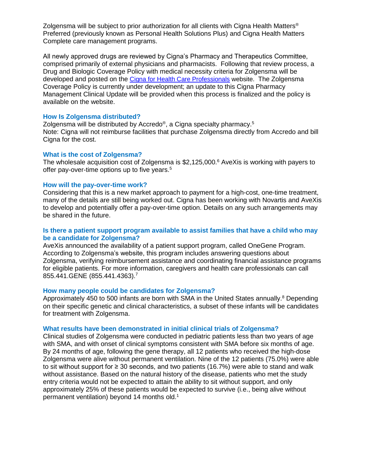Zolgensma will be subject to prior authorization for all clients with Cigna Health Matters<sup>®</sup> Preferred (previously known as Personal Health Solutions Plus) and Cigna Health Matters Complete care management programs.

All newly approved drugs are reviewed by Cigna's Pharmacy and Therapeutics Committee, comprised primarily of external physicians and pharmacists. Following that review process, a Drug and Biologic Coverage Policy with medical necessity criteria for Zolgensma will be developed and posted on the [Cigna for Health Care Professionals](https://cignaforhcp.cigna.com/web/public/guest) website. The Zolgensma Coverage Policy is currently under development; an update to this Cigna Pharmacy Management Clinical Update will be provided when this process is finalized and the policy is available on the website.

# **How Is Zolgensma distributed?**

Zolgensma will be distributed by Accredo®, a Cigna specialty pharmacy.<sup>5</sup> Note: Cigna will not reimburse facilities that purchase Zolgensma directly from Accredo and bill Cigna for the cost.

# **What is the cost of Zolgensma?**

The wholesale acquisition cost of Zolgensma is  $$2,125,000$ .<sup>6</sup> AveXis is working with payers to offer pay-over-time options up to five years. 5

# **How will the pay-over-time work?**

Considering that this is a new market approach to payment for a high-cost, one-time treatment, many of the details are still being worked out. Cigna has been working with Novartis and AveXis to develop and potentially offer a pay-over-time option. Details on any such arrangements may be shared in the future.

# **Is there a patient support program available to assist families that have a child who may be a candidate for Zolgensma?**

AveXis announced the availability of a patient support program, called OneGene Program. According to Zolgensma's website, this program includes answering questions about Zolgensma, verifying reimbursement assistance and coordinating financial assistance programs for eligible patients. For more information, caregivers and health care professionals can call 855.441.GENE (855.441.4363).<sup>7</sup>

# **How many people could be candidates for Zolgensma?**

Approximately 450 to 500 infants are born with SMA in the United States annually.<sup>8</sup> Depending on their specific genetic and clinical characteristics, a subset of these infants will be candidates for treatment with Zolgensma.

# **What results have been demonstrated in initial clinical trials of Zolgensma?**

Clinical studies of Zolgensma were conducted in pediatric patients less than two years of age with SMA, and with onset of clinical symptoms consistent with SMA before six months of age. By 24 months of age, following the gene therapy, all 12 patients who received the high-dose Zolgensma were alive without permanent ventilation. Nine of the 12 patients (75.0%) were able to sit without support for  $\geq 30$  seconds, and two patients (16.7%) were able to stand and walk without assistance. Based on the natural history of the disease, patients who met the study entry criteria would not be expected to attain the ability to sit without support, and only approximately 25% of these patients would be expected to survive (i.e., being alive without permanent ventilation) beyond 14 months old. 1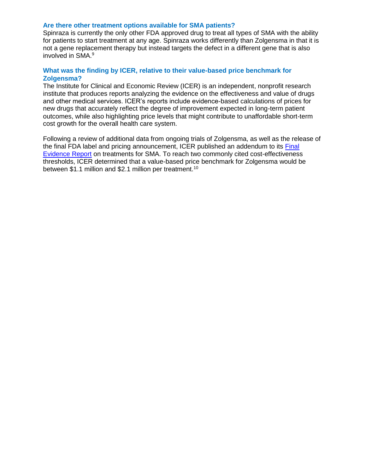# **Are there other treatment options available for SMA patients?**

Spinraza is currently the only other FDA approved drug to treat all types of SMA with the ability for patients to start treatment at any age. Spinraza works differently than Zolgensma in that it is not a gene replacement therapy but instead targets the defect in a different gene that is also involved in SMA.<sup>9</sup>

# **What was the finding by ICER, relative to their value-based price benchmark for Zolgensma?**

The Institute for Clinical and Economic Review (ICER) is an independent, nonprofit research institute that produces reports analyzing the evidence on the effectiveness and value of drugs and other medical services. ICER's reports include evidence-based calculations of prices for new drugs that accurately reflect the degree of improvement expected in long-term patient outcomes, while also highlighting price levels that might contribute to unaffordable short-term cost growth for the overall health care system.

Following a review of additional data from ongoing trials of Zolgensma, as well as the release of the final FDA label and pricing announcement, ICER published an addendum to its [Final](https://icer-review.org/announcements/icer_comment_on_zolgensma_approval/)  [Evidence Report](https://icer-review.org/announcements/icer_comment_on_zolgensma_approval/) on treatments for SMA. To reach two commonly cited cost-effectiveness thresholds, ICER determined that a value-based price benchmark for Zolgensma would be between \$1.1 million and \$2.1 million per treatment.<sup>10</sup>